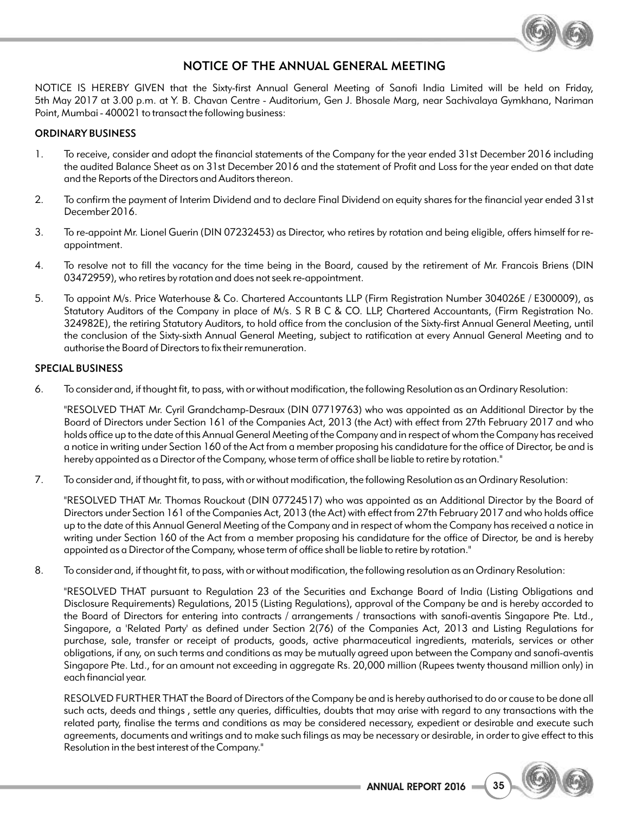

## NOTICE OF THE ANNUAL GENERAL MEETING

NOTICE IS HEREBY GIVEN that the Sixty-first Annual General Meeting of Sanofi India Limited will be held on Friday, 5th May 2017 at 3.00 p.m. at Y. B. Chavan Centre - Auditorium, Gen J. Bhosale Marg, near Sachivalaya Gymkhana, Nariman Point, Mumbai - 400021 to transact the following business:

## ORDINARY BUSINESS

- 1. To receive, consider and adopt the financial statements of the Company for the year ended 31st December 2016 including the audited Balance Sheet as on 31st December 2016 and the statement of Profit and Loss for the year ended on that date and the Reports of the Directors and Auditors thereon.
- 2. To confirm the payment of Interim Dividend and to declare Final Dividend on equity shares for the financial year ended 31st December 2016.
- 3. To re-appoint Mr. Lionel Guerin (DIN 07232453) as Director, who retires by rotation and being eligible, offers himself for reappointment.
- 4. To resolve not to fill the vacancy for the time being in the Board, caused by the retirement of Mr. Francois Briens (DIN 03472959), who retires by rotation and does not seek re-appointment.
- 5. To appoint M/s. Price Waterhouse & Co. Chartered Accountants LLP (Firm Registration Number 304026E / E300009), as Statutory Auditors of the Company in place of M/s. S R B C & CO. LLP, Chartered Accountants, (Firm Registration No. 324982E), the retiring Statutory Auditors, to hold office from the conclusion of the Sixty-first Annual General Meeting, until the conclusion of the Sixty-sixth Annual General Meeting, subject to ratification at every Annual General Meeting and to authorise the Board of Directors to fix their remuneration.

### SPECIAL BUSINESS

6. To consider and, if thought fit, to pass, with or without modification, the following Resolution as an Ordinary Resolution:

"RESOLVED THAT Mr. Cyril Grandchamp-Desraux (DIN 07719763) who was appointed as an Additional Director by the Board of Directors under Section 161 of the Companies Act, 2013 (the Act) with effect from 27th February 2017 and who holds office up to the date of this Annual General Meeting of the Company and in respect of whom the Company has received a notice in writing under Section 160 of the Act from a member proposing his candidature for the office of Director, be and is hereby appointed as a Director of the Company, whose term of office shall be liable to retire by rotation."

7. To consider and, if thought fit, to pass, with or without modification, the following Resolution as an Ordinary Resolution:

"RESOLVED THAT Mr. Thomas Rouckout (DIN 07724517) who was appointed as an Additional Director by the Board of Directors under Section 161 of the Companies Act, 2013 (the Act) with effect from 27th February 2017 and who holds office up to the date of this Annual General Meeting of the Company and in respect of whom the Company has received a notice in writing under Section 160 of the Act from a member proposing his candidature for the office of Director, be and is hereby appointed as a Director of the Company, whose term of office shall be liable to retire by rotation."

8. To consider and, if thought fit, to pass, with or without modification, the following resolution as an Ordinary Resolution:

"RESOLVED THAT pursuant to Regulation 23 of the Securities and Exchange Board of India (Listing Obligations and Disclosure Requirements) Regulations, 2015 (Listing Regulations), approval of the Company be and is hereby accorded to the Board of Directors for entering into contracts / arrangements / transactions with sanofi-aventis Singapore Pte. Ltd., Singapore, a 'Related Party' as defined under Section 2(76) of the Companies Act, 2013 and Listing Regulations for purchase, sale, transfer or receipt of products, goods, active pharmaceutical ingredients, materials, services or other obligations, if any, on such terms and conditions as may be mutually agreed upon between the Company and sanofi-aventis Singapore Pte. Ltd., for an amount not exceeding in aggregate Rs. 20,000 million (Rupees twenty thousand million only) in each financial year.

RESOLVED FURTHER THAT the Board of Directors of the Company be and is hereby authorised to do or cause to be done all such acts, deeds and things , settle any queries, difficulties, doubts that may arise with regard to any transactions with the related party, finalise the terms and conditions as may be considered necessary, expedient or desirable and execute such agreements, documents and writings and to make such filings as may be necessary or desirable, in order to give effect to this Resolution in the best interest of the Company."

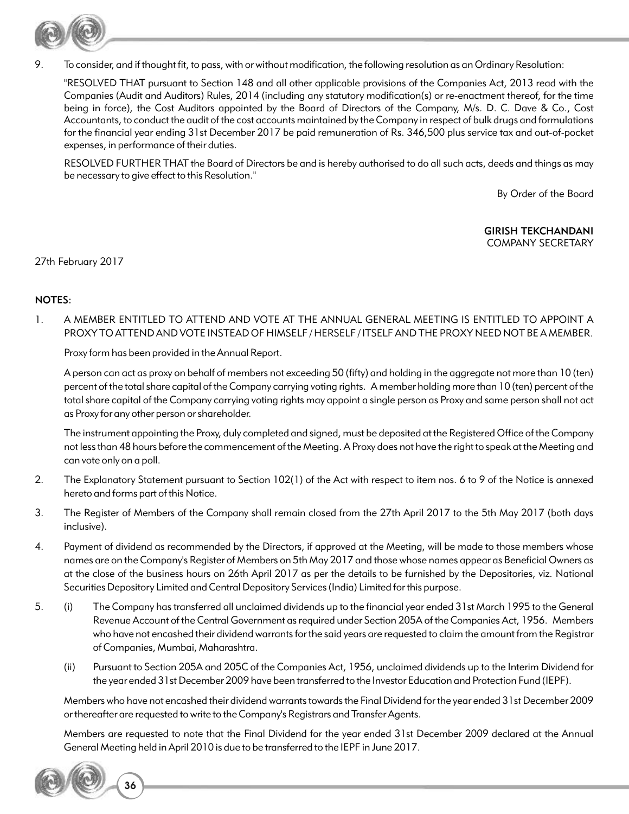

9. To consider, and if thought fit, to pass, with or without modification, the following resolution as an Ordinary Resolution:

"RESOLVED THAT pursuant to Section 148 and all other applicable provisions of the Companies Act, 2013 read with the Companies (Audit and Auditors) Rules, 2014 (including any statutory modification(s) or re-enactment thereof, for the time being in force), the Cost Auditors appointed by the Board of Directors of the Company, M/s. D. C. Dave & Co., Cost Accountants, to conduct the audit of the cost accounts maintained by the Company in respect of bulk drugs and formulations for the financial year ending 31st December 2017 be paid remuneration of Rs. 346,500 plus service tax and out-of-pocket expenses, in performance of their duties.

RESOLVED FURTHER THAT the Board of Directors be and is hereby authorised to do all such acts, deeds and things as may be necessary to give effect to this Resolution."

By Order of the Board

GIRISH TEKCHANDANI COMPANY SECRETARY

27th February 2017

## NOTES:

1. A MEMBER ENTITLED TO ATTEND AND VOTE AT THE ANNUAL GENERAL MEETING IS ENTITLED TO APPOINT A PROXY TO ATTEND AND VOTE INSTEAD OF HIMSELF / HERSELF / ITSELF AND THE PROXY NEED NOT BE A MEMBER.

Proxy form has been provided in the Annual Report.

A person can act as proxy on behalf of members not exceeding 50 (fifty) and holding in the aggregate not more than 10 (ten) percent of the total share capital of the Company carrying voting rights. A member holding more than 10 (ten) percent of the total share capital of the Company carrying voting rights may appoint a single person as Proxy and same person shall not act as Proxy for any other person or shareholder.

The instrument appointing the Proxy, duly completed and signed, must be deposited at the Registered Office of the Company not less than 48 hours before the commencement of the Meeting. A Proxy does not have the right to speak at the Meeting and can vote only on a poll.

- 2. The Explanatory Statement pursuant to Section 102(1) of the Act with respect to item nos. 6 to 9 of the Notice is annexed hereto and forms part of this Notice.
- 3. The Register of Members of the Company shall remain closed from the 27th April 2017 to the 5th May 2017 (both days inclusive).
- 4. Payment of dividend as recommended by the Directors, if approved at the Meeting, will be made to those members whose names are on the Company's Register of Members on 5th May 2017 and those whose names appear as Beneficial Owners as at the close of the business hours on 26th April 2017 as per the details to be furnished by the Depositories, viz. National Securities Depository Limited and Central Depository Services (India) Limited for this purpose.
- 5. (i) The Company has transferred all unclaimed dividends up to the financial year ended 31st March 1995 to the General Revenue Account of the Central Government as required under Section 205A of the Companies Act, 1956. Members who have not encashed their dividend warrants for the said years are requested to claim the amount from the Registrar of Companies, Mumbai, Maharashtra.
	- (ii) Pursuant to Section 205A and 205C of the Companies Act, 1956, unclaimed dividends up to the Interim Dividend for the year ended 31st December 2009 have been transferred to the Investor Education and Protection Fund (IEPF).

Members who have not encashed their dividend warrants towards the Final Dividend for the year ended 31st December 2009 or thereafter are requested to write to the Company's Registrars and Transfer Agents.

Members are requested to note that the Final Dividend for the year ended 31st December 2009 declared at the Annual General Meeting held in April 2010 is due to be transferred to the IEPF in June 2017.

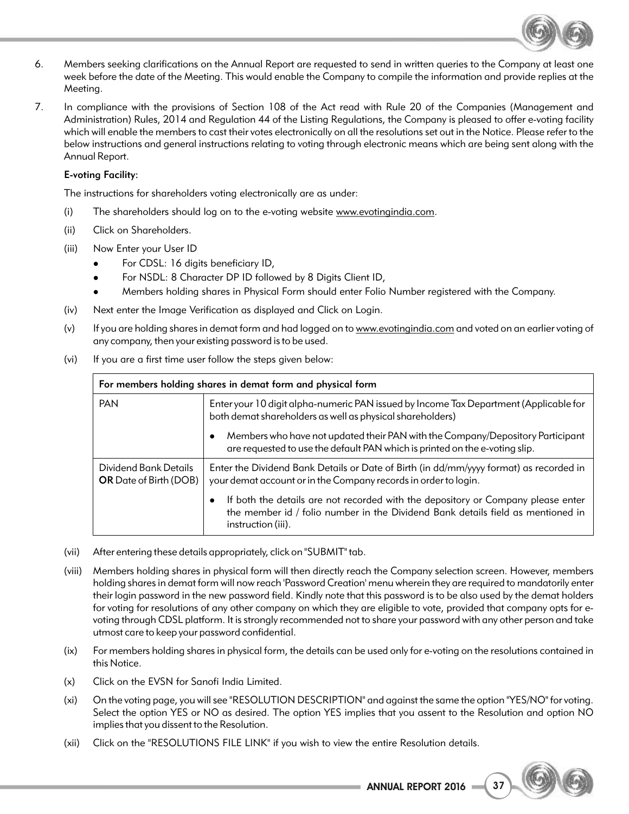

- 6. Members seeking clarifications on the Annual Report are requested to send in written queries to the Company at least one week before the date of the Meeting. This would enable the Company to compile the information and provide replies at the Meeting.
- 7. In compliance with the provisions of Section 108 of the Act read with Rule 20 of the Companies (Management and Administration) Rules, 2014 and Regulation 44 of the Listing Regulations, the Company is pleased to offer e-voting facility which will enable the members to cast their votes electronically on all the resolutions set out in the Notice. Please refer to the below instructions and general instructions relating to voting through electronic means which are being sent along with the Annual Report.

## E-voting Facility:

The instructions for shareholders voting electronically are as under:

- (i) The shareholders should log on to the e-voting website www.evotingindia.com.
- (ii) Click on Shareholders.
- (iii) Now Enter your User ID
	-
	- For CDSL: 16 digits beneficiary ID,<br>For NSDL: 8 Character DP ID followed by 8 Digits Client ID,
	- lFor NSDL: 8 Character DP ID followed by 8 Digits Client ID, Members holding shares in Physical Form should enter Folio Number registered with the Company.
- (iv) Next enter the Image Verification as displayed and Click on Login.
- (v) If you are holding shares in demat form and had logged on to www.evotingindia.com and voted on an earlier voting of any company, then your existing password is to be used.
- (vi) If you are a first time user follow the steps given below:

| For members holding shares in demat form and physical form |                                                                                                                                                                                                        |  |
|------------------------------------------------------------|--------------------------------------------------------------------------------------------------------------------------------------------------------------------------------------------------------|--|
| <b>PAN</b>                                                 | Enter your 10 digit alpha-numeric PAN issued by Income Tax Department (Applicable for<br>both demat shareholders as well as physical shareholders)                                                     |  |
|                                                            | Members who have not updated their PAN with the Company/Depository Participant<br>are requested to use the default PAN which is printed on the e-voting slip.                                          |  |
| Dividend Bank Details<br><b>OR</b> Date of Birth (DOB)     | Enter the Dividend Bank Details or Date of Birth (in dd/mm/yyyy format) as recorded in<br>your demat account or in the Company records in order to login.                                              |  |
|                                                            | If both the details are not recorded with the depository or Company please enter<br>$\bullet$<br>the member id / folio number in the Dividend Bank details field as mentioned in<br>instruction (iii). |  |

- (vii) After entering these details appropriately, click on "SUBMIT" tab.
- (viii) Members holding shares in physical form will then directly reach the Company selection screen. However, members holding shares in demat form will now reach 'Password Creation' menu wherein they are required to mandatorily enter their login password in the new password field. Kindly note that this password is to be also used by the demat holders for voting for resolutions of any other company on which they are eligible to vote, provided that company opts for evoting through CDSL platform. It is strongly recommended not to share your password with any other person and take utmost care to keep your password confidential.
- (ix) For members holding shares in physical form, the details can be used only for e-voting on the resolutions contained in this Notice.
- (x) Click on the EVSN for Sanofi India Limited.
- (xi) On the voting page, you will see "RESOLUTION DESCRIPTION" and against the same the option "YES/NO" for voting. Select the option YES or NO as desired. The option YES implies that you assent to the Resolution and option NO implies that you dissent to the Resolution.
- (xii) Click on the "RESOLUTIONS FILE LINK" if you wish to view the entire Resolution details.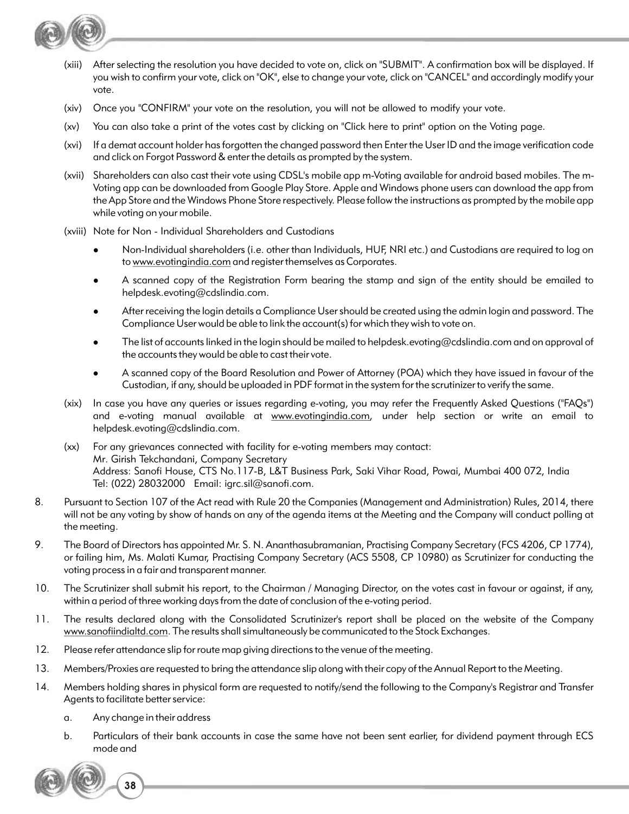

- (xiii) After selecting the resolution you have decided to vote on, click on "SUBMIT". A confirmation box will be displayed. If you wish to confirm your vote, click on "OK", else to change your vote, click on "CANCEL" and accordingly modify your vote.
- (xiv) Once you "CONFIRM" your vote on the resolution, you will not be allowed to modify your vote.
- (xv) You can also take a print of the votes cast by clicking on "Click here to print" option on the Voting page.
- (xvi) If a demat account holder has forgotten the changed password then Enter the User ID and the image verification code and click on Forgot Password & enter the details as prompted by the system.
- (xvii) Shareholders can also cast their vote using CDSL's mobile app m-Voting available for android based mobiles. The m-Voting app can be downloaded from Google Play Store. Apple and Windows phone users can download the app from the App Store and the Windows Phone Store respectively. Please follow the instructions as prompted by the mobile app while voting on your mobile.
- (xviii) Note for Non Individual Shareholders and Custodians
	- <sup>l</sup>Non-Individual shareholders (i.e. other than Individuals, HUF, NRI etc.) and Custodians are required to log on to www.evotingindia.com and register themselves as Corporates.
	- A scanned copy of the Registration Form bearing the stamp and sign of the entity should be emailed to helpdesk.evoting@cdslindia.com.
	- <sup>l</sup>After receiving the login details a Compliance User should be created using the admin login and password. The Compliance User would be able to link the account(s) for which they wish to vote on.
	- <sup>l</sup>The list of accounts linked in the login should be mailed to helpdesk.evoting@cdslindia.com and on approval of the accounts they would be able to cast their vote.
	- <sup>l</sup>A scanned copy of the Board Resolution and Power of Attorney (POA) which they have issued in favour of the Custodian, if any, should be uploaded in PDF format in the system for the scrutinizer to verify the same.
- (xix) In case you have any queries or issues regarding e-voting, you may refer the Frequently Asked Questions ("FAQs") and e-voting manual available at www.evotingindia.com, under help section or write an email to helpdesk.evoting@cdslindia.com.
- (xx) For any grievances connected with facility for e-voting members may contact: Mr. Girish Tekchandani, Company Secretary Address: Sanofi House, CTS No.117-B, L&T Business Park, Saki Vihar Road, Powai, Mumbai 400 072, India Tel: (022) 28032000 Email: igrc.sil@sanofi.com.
- 8. Pursuant to Section 107 of the Act read with Rule 20 the Companies (Management and Administration) Rules, 2014, there will not be any voting by show of hands on any of the agenda items at the Meeting and the Company will conduct polling at the meeting.
- 9. The Board of Directors has appointed Mr. S. N. Ananthasubramanian, Practising Company Secretary (FCS 4206, CP 1774), or failing him, Ms. Malati Kumar, Practising Company Secretary (ACS 5508, CP 10980) as Scrutinizer for conducting the voting process in a fair and transparent manner.
- 10. The Scrutinizer shall submit his report, to the Chairman / Managing Director, on the votes cast in favour or against, if any, within a period of three working days from the date of conclusion of the e-voting period.
- 11. The results declared along with the Consolidated Scrutinizer's report shall be placed on the website of the Company www.sanofiindialtd.com. The results shall simultaneously be communicated to the Stock Exchanges.
- 12. Please refer attendance slip for route map giving directions to the venue of the meeting.
- 13. Members/Proxies are requested to bring the attendance slip along with their copy of the Annual Report to the Meeting.
- 14. Members holding shares in physical form are requested to notify/send the following to the Company's Registrar and Transfer Agents to facilitate better service:
	- a. Any change in their address
	- b. Particulars of their bank accounts in case the same have not been sent earlier, for dividend payment through ECS mode and

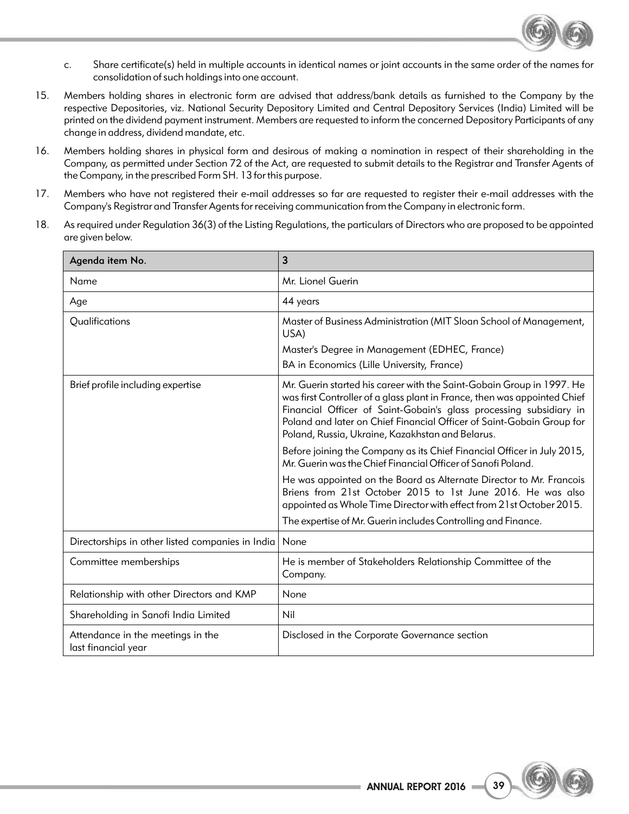

- c. Share certificate(s) held in multiple accounts in identical names or joint accounts in the same order of the names for consolidation of such holdings into one account.
- 15. Members holding shares in electronic form are advised that address/bank details as furnished to the Company by the respective Depositories, viz. National Security Depository Limited and Central Depository Services (India) Limited will be printed on the dividend payment instrument. Members are requested to inform the concerned Depository Participants of any change in address, dividend mandate, etc.
- 16. Members holding shares in physical form and desirous of making a nomination in respect of their shareholding in the Company, as permitted under Section 72 of the Act, are requested to submit details to the Registrar and Transfer Agents of the Company, in the prescribed Form SH. 13 for this purpose.
- 17. Members who have not registered their e-mail addresses so far are requested to register their e-mail addresses with the Company's Registrar and Transfer Agents for receiving communication from the Company in electronic form.
- 18. As required under Regulation 36(3) of the Listing Regulations, the particulars of Directors who are proposed to be appointed are given below.

| Agenda item No.                                          | 3                                                                                                                                                                                                                                                                                                                                                     |
|----------------------------------------------------------|-------------------------------------------------------------------------------------------------------------------------------------------------------------------------------------------------------------------------------------------------------------------------------------------------------------------------------------------------------|
| Name                                                     | Mr. Lionel Guerin                                                                                                                                                                                                                                                                                                                                     |
| Age                                                      | 44 years                                                                                                                                                                                                                                                                                                                                              |
| Qualifications                                           | Master of Business Administration (MIT Sloan School of Management,<br>USA)                                                                                                                                                                                                                                                                            |
|                                                          | Master's Degree in Management (EDHEC, France)                                                                                                                                                                                                                                                                                                         |
|                                                          | BA in Economics (Lille University, France)                                                                                                                                                                                                                                                                                                            |
| Brief profile including expertise                        | Mr. Guerin started his career with the Saint-Gobain Group in 1997. He<br>was first Controller of a glass plant in France, then was appointed Chief<br>Financial Officer of Saint-Gobain's glass processing subsidiary in<br>Poland and later on Chief Financial Officer of Saint-Gobain Group for<br>Poland, Russia, Ukraine, Kazakhstan and Belarus. |
|                                                          | Before joining the Company as its Chief Financial Officer in July 2015,<br>Mr. Guerin was the Chief Financial Officer of Sanofi Poland.                                                                                                                                                                                                               |
|                                                          | He was appointed on the Board as Alternate Director to Mr. Francois<br>Briens from 21st October 2015 to 1st June 2016. He was also<br>appointed as Whole Time Director with effect from 21st October 2015.                                                                                                                                            |
|                                                          | The expertise of Mr. Guerin includes Controlling and Finance.                                                                                                                                                                                                                                                                                         |
| Directorships in other listed companies in India         | None                                                                                                                                                                                                                                                                                                                                                  |
| Committee memberships                                    | He is member of Stakeholders Relationship Committee of the<br>Company.                                                                                                                                                                                                                                                                                |
| Relationship with other Directors and KMP                | None                                                                                                                                                                                                                                                                                                                                                  |
| Shareholding in Sanofi India Limited                     | Nil                                                                                                                                                                                                                                                                                                                                                   |
| Attendance in the meetings in the<br>last financial year | Disclosed in the Corporate Governance section                                                                                                                                                                                                                                                                                                         |

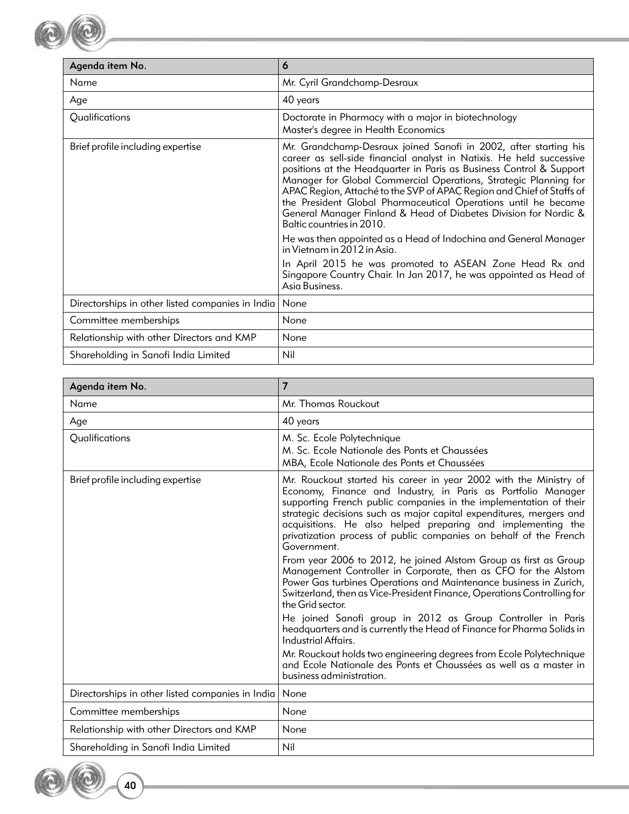

**40**

| Agenda item No.                                  | 6                                                                                                                                                                                                                                                                                                                                                                                                                                                                                                                               |
|--------------------------------------------------|---------------------------------------------------------------------------------------------------------------------------------------------------------------------------------------------------------------------------------------------------------------------------------------------------------------------------------------------------------------------------------------------------------------------------------------------------------------------------------------------------------------------------------|
| Name                                             | Mr. Cyril Grandchamp-Desraux                                                                                                                                                                                                                                                                                                                                                                                                                                                                                                    |
| Age                                              | 40 years                                                                                                                                                                                                                                                                                                                                                                                                                                                                                                                        |
| Qualifications                                   | Doctorate in Pharmacy with a major in biotechnology<br>Master's degree in Health Economics                                                                                                                                                                                                                                                                                                                                                                                                                                      |
| Brief profile including expertise                | Mr. Grandchamp-Desraux joined Sanofi in 2002, after starting his<br>career as sell-side financial analyst in Natixis. He held successive<br>positions at the Headquarter in Paris as Business Control & Support<br>Manager for Global Commercial Operations, Strategic Planning for<br>APAC Region, Attaché to the SVP of APAC Region and Chief of Staffs of<br>the President Global Pharmaceutical Operations until he became<br>General Manager Finland & Head of Diabetes Division for Nordic &<br>Baltic countries in 2010. |
|                                                  | He was then appointed as a Head of Indochina and General Manager<br>in Vietnam in 2012 in Asia.                                                                                                                                                                                                                                                                                                                                                                                                                                 |
|                                                  | In April 2015 he was promoted to ASEAN Zone Head Rx and<br>Singapore Country Chair. In Jan 2017, he was appointed as Head of<br>Asia Business.                                                                                                                                                                                                                                                                                                                                                                                  |
| Directorships in other listed companies in India | None                                                                                                                                                                                                                                                                                                                                                                                                                                                                                                                            |
| Committee memberships                            | None                                                                                                                                                                                                                                                                                                                                                                                                                                                                                                                            |
| Relationship with other Directors and KMP        | None                                                                                                                                                                                                                                                                                                                                                                                                                                                                                                                            |
| Shareholding in Sanofi India Limited             | Nil                                                                                                                                                                                                                                                                                                                                                                                                                                                                                                                             |

**Contract Contract** 

| Agenda item No.                                  | 7                                                                                                                                                                                                                                                                                                                                                                                                                                |
|--------------------------------------------------|----------------------------------------------------------------------------------------------------------------------------------------------------------------------------------------------------------------------------------------------------------------------------------------------------------------------------------------------------------------------------------------------------------------------------------|
| Name                                             | Mr. Thomas Rouckout                                                                                                                                                                                                                                                                                                                                                                                                              |
| Age                                              | 40 years                                                                                                                                                                                                                                                                                                                                                                                                                         |
| Qualifications                                   | M. Sc. Ecole Polytechnique<br>M. Sc. Ecole Nationale des Ponts et Chaussées<br>MBA, Ecole Nationale des Ponts et Chaussées                                                                                                                                                                                                                                                                                                       |
| Brief profile including expertise                | Mr. Rouckout started his career in year 2002 with the Ministry of<br>Economy, Finance and Industry, in Paris as Portfolio Manager<br>supporting French public companies in the implementation of their<br>strategic decisions such as major capital expenditures, mergers and<br>acquisitions. He also helped preparing and implementing the<br>privatization process of public companies on behalf of the French<br>Government. |
|                                                  | From year 2006 to 2012, he joined Alstom Group as first as Group<br>Management Controller in Corporate, then as CFO for the Alstom<br>Power Gas turbines Operations and Maintenance business in Zurich,<br>Switzerland, then as Vice-President Finance, Operations Controlling for<br>the Grid sector.                                                                                                                           |
|                                                  | He joined Sanofi group in 2012 as Group Controller in Paris<br>headquarters and is currently the Head of Finance for Pharma Solids in<br>Industrial Affairs.                                                                                                                                                                                                                                                                     |
|                                                  | Mr. Rouckout holds two engineering degrees from Ecole Polytechnique<br>and Ecole Nationale des Ponts et Chaussées as well as a master in<br>business administration.                                                                                                                                                                                                                                                             |
| Directorships in other listed companies in India | None                                                                                                                                                                                                                                                                                                                                                                                                                             |
| Committee memberships                            | None                                                                                                                                                                                                                                                                                                                                                                                                                             |
| Relationship with other Directors and KMP        | None                                                                                                                                                                                                                                                                                                                                                                                                                             |
| Shareholding in Sanofi India Limited             | Nil                                                                                                                                                                                                                                                                                                                                                                                                                              |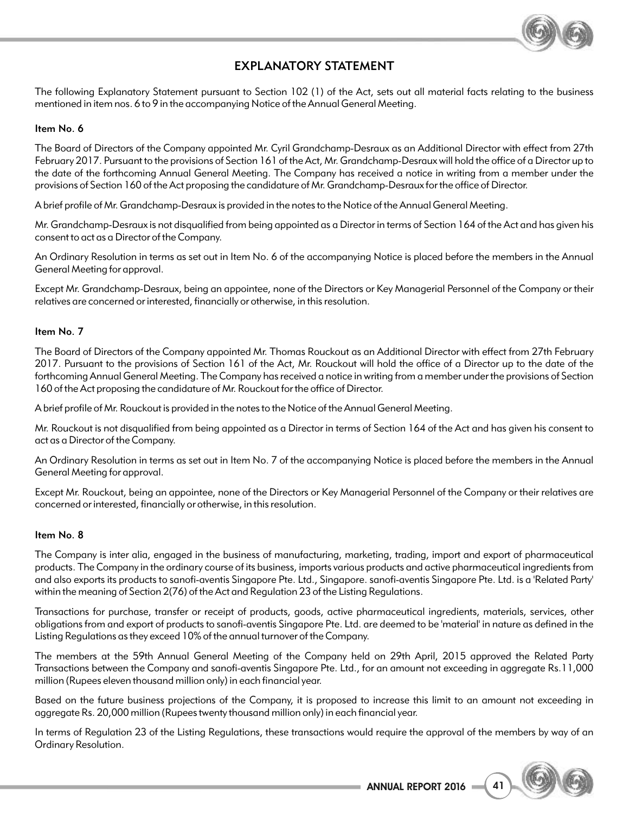

# EXPLANATORY STATEMENT

The following Explanatory Statement pursuant to Section 102 (1) of the Act, sets out all material facts relating to the business mentioned in item nos. 6 to 9 in the accompanying Notice of the Annual General Meeting.

### Item No. 6

The Board of Directors of the Company appointed Mr. Cyril Grandchamp-Desraux as an Additional Director with effect from 27th February 2017. Pursuant to the provisions of Section 161 of the Act, Mr. Grandchamp-Desraux will hold the office of a Director up to the date of the forthcoming Annual General Meeting. The Company has received a notice in writing from a member under the provisions of Section 160 of the Act proposing the candidature of Mr. Grandchamp-Desraux for the office of Director.

A brief profile of Mr. Grandchamp-Desraux is provided in the notes to the Notice of the Annual General Meeting.

Mr. Grandchamp-Desraux is not disqualified from being appointed as a Director in terms of Section 164 of the Act and has given his consent to act as a Director of the Company.

An Ordinary Resolution in terms as set out in Item No. 6 of the accompanying Notice is placed before the members in the Annual General Meeting for approval.

Except Mr. Grandchamp-Desraux, being an appointee, none of the Directors or Key Managerial Personnel of the Company or their relatives are concerned or interested, financially or otherwise, in this resolution.

### Item No. 7

The Board of Directors of the Company appointed Mr. Thomas Rouckout as an Additional Director with effect from 27th February 2017. Pursuant to the provisions of Section 161 of the Act, Mr. Rouckout will hold the office of a Director up to the date of the forthcoming Annual General Meeting. The Company has received a notice in writing from a member under the provisions of Section 160 of the Act proposing the candidature of Mr. Rouckout for the office of Director.

A brief profile of Mr. Rouckout is provided in the notes to the Notice of the Annual General Meeting.

Mr. Rouckout is not disqualified from being appointed as a Director in terms of Section 164 of the Act and has given his consent to act as a Director of the Company.

An Ordinary Resolution in terms as set out in Item No. 7 of the accompanying Notice is placed before the members in the Annual General Meeting for approval.

Except Mr. Rouckout, being an appointee, none of the Directors or Key Managerial Personnel of the Company or their relatives are concerned or interested, financially or otherwise, in this resolution.

#### Item No. 8

The Company is inter alia, engaged in the business of manufacturing, marketing, trading, import and export of pharmaceutical products. The Company in the ordinary course of its business, imports various products and active pharmaceutical ingredients from and also exports its products to sanofi-aventis Singapore Pte. Ltd., Singapore. sanofi-aventis Singapore Pte. Ltd. is a 'Related Party' within the meaning of Section 2(76) of the Act and Regulation 23 of the Listing Regulations.

Transactions for purchase, transfer or receipt of products, goods, active pharmaceutical ingredients, materials, services, other obligations from and export of products to sanofi-aventis Singapore Pte. Ltd. are deemed to be 'material' in nature as defined in the Listing Regulations as they exceed 10% of the annual turnover of the Company.

The members at the 59th Annual General Meeting of the Company held on 29th April, 2015 approved the Related Party Transactions between the Company and sanofi-aventis Singapore Pte. Ltd., for an amount not exceeding in aggregate Rs.11,000 million (Rupees eleven thousand million only) in each financial year.

Based on the future business projections of the Company, it is proposed to increase this limit to an amount not exceeding in aggregate Rs. 20,000 million (Rupees twenty thousand million only) in each financial year.

In terms of Regulation 23 of the Listing Regulations, these transactions would require the approval of the members by way of an Ordinary Resolution.

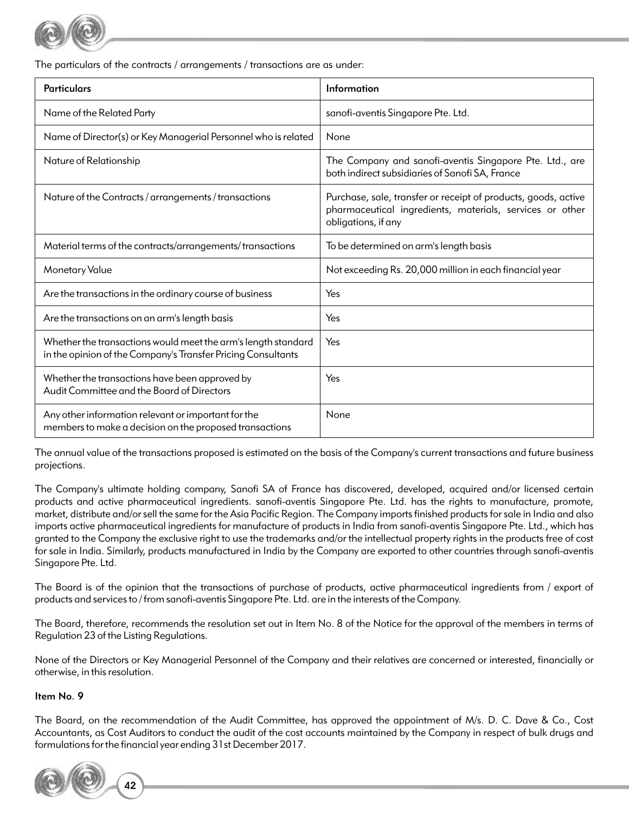

The particulars of the contracts / arrangements / transactions are as under:

| <b>Particulars</b>                                                                                                            | Information                                                                                                                                       |
|-------------------------------------------------------------------------------------------------------------------------------|---------------------------------------------------------------------------------------------------------------------------------------------------|
| Name of the Related Party                                                                                                     | sanofi-aventis Singapore Pte. Ltd.                                                                                                                |
| Name of Director(s) or Key Managerial Personnel who is related                                                                | None                                                                                                                                              |
| Nature of Relationship                                                                                                        | The Company and sanofi-aventis Singapore Pte. Ltd., are<br>both indirect subsidiaries of Sanofi SA, France                                        |
| Nature of the Contracts / arrangements / transactions                                                                         | Purchase, sale, transfer or receipt of products, goods, active<br>pharmaceutical ingredients, materials, services or other<br>obligations, if any |
| Material terms of the contracts/arrangements/transactions                                                                     | To be determined on arm's length basis                                                                                                            |
| <b>Monetary Value</b>                                                                                                         | Not exceeding Rs. 20,000 million in each financial year                                                                                           |
| Are the transactions in the ordinary course of business                                                                       | Yes                                                                                                                                               |
| Are the transactions on an arm's length basis                                                                                 | Yes                                                                                                                                               |
| Whether the transactions would meet the arm's length standard<br>in the opinion of the Company's Transfer Pricing Consultants | Yes                                                                                                                                               |
| Whether the transactions have been approved by<br>Audit Committee and the Board of Directors                                  | Yes                                                                                                                                               |
| Any other information relevant or important for the<br>members to make a decision on the proposed transactions                | None                                                                                                                                              |

The annual value of the transactions proposed is estimated on the basis of the Company's current transactions and future business projections.

The Company's ultimate holding company, Sanofi SA of France has discovered, developed, acquired and/or licensed certain products and active pharmaceutical ingredients. sanofi-aventis Singapore Pte. Ltd. has the rights to manufacture, promote, market, distribute and/or sell the same for the Asia Pacific Region. The Company imports finished products for sale in India and also imports active pharmaceutical ingredients for manufacture of products in India from sanofi-aventis Singapore Pte. Ltd., which has granted to the Company the exclusive right to use the trademarks and/or the intellectual property rights in the products free of cost for sale in India. Similarly, products manufactured in India by the Company are exported to other countries through sanofi-aventis Singapore Pte. Ltd.

The Board is of the opinion that the transactions of purchase of products, active pharmaceutical ingredients from / export of products and services to / from sanofi-aventis Singapore Pte. Ltd. are in the interests of the Company.

The Board, therefore, recommends the resolution set out in Item No. 8 of the Notice for the approval of the members in terms of Regulation 23 of the Listing Regulations.

None of the Directors or Key Managerial Personnel of the Company and their relatives are concerned or interested, financially or otherwise, in this resolution.

## Item No. 9

The Board, on the recommendation of the Audit Committee, has approved the appointment of M/s. D. C. Dave & Co., Cost Accountants, as Cost Auditors to conduct the audit of the cost accounts maintained by the Company in respect of bulk drugs and formulations for the financial year ending 31st December 2017.